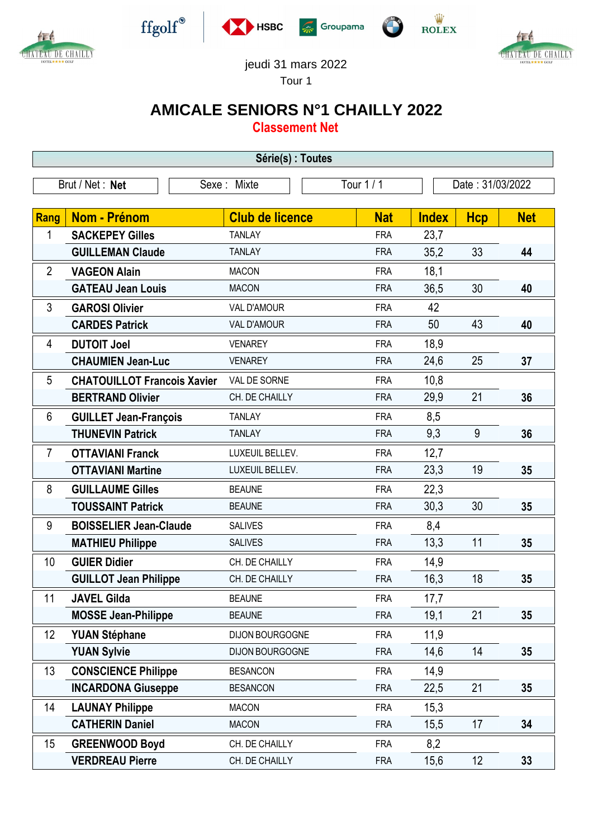



 $\operatorname{ffgolf}^{\circledast}$ 







jeudi 31 mars 2022

Tour 1

## **AMICALE SENIORS N°1 CHAILLY 2022**

**Classement Net**

| Série(s) : Toutes |                                    |                        |            |              |                  |            |  |
|-------------------|------------------------------------|------------------------|------------|--------------|------------------|------------|--|
|                   | Brut / Net: Net                    | Sexe: Mixte            | Tour 1 / 1 |              | Date: 31/03/2022 |            |  |
|                   |                                    |                        |            |              |                  |            |  |
| Rang              | <b>Nom - Prénom</b>                | <b>Club de licence</b> | <b>Nat</b> | <b>Index</b> | <b>Hcp</b>       | <b>Net</b> |  |
| 1                 | <b>SACKEPEY Gilles</b>             | <b>TANLAY</b>          | <b>FRA</b> | 23,7         |                  |            |  |
|                   | <b>GUILLEMAN Claude</b>            | <b>TANLAY</b>          | <b>FRA</b> | 35,2         | 33               | 44         |  |
| $\overline{2}$    | <b>VAGEON Alain</b>                | <b>MACON</b>           | <b>FRA</b> | 18,1         |                  |            |  |
|                   | <b>GATEAU Jean Louis</b>           | <b>MACON</b>           | <b>FRA</b> | 36,5         | 30               | 40         |  |
| 3                 | <b>GAROSI Olivier</b>              | <b>VAL D'AMOUR</b>     | <b>FRA</b> | 42           |                  |            |  |
|                   | <b>CARDES Patrick</b>              | <b>VAL D'AMOUR</b>     | <b>FRA</b> | 50           | 43               | 40         |  |
| 4                 | <b>DUTOIT Joel</b>                 | <b>VENAREY</b>         | <b>FRA</b> | 18,9         |                  |            |  |
|                   | <b>CHAUMIEN Jean-Luc</b>           | <b>VENAREY</b>         | <b>FRA</b> | 24,6         | 25               | 37         |  |
| 5                 | <b>CHATOUILLOT Francois Xavier</b> | VAL DE SORNE           | <b>FRA</b> | 10,8         |                  |            |  |
|                   | <b>BERTRAND Olivier</b>            | CH. DE CHAILLY         | <b>FRA</b> | 29,9         | 21               | 36         |  |
| 6                 | <b>GUILLET Jean-François</b>       | <b>TANLAY</b>          | <b>FRA</b> | 8,5          |                  |            |  |
|                   | <b>THUNEVIN Patrick</b>            | <b>TANLAY</b>          | <b>FRA</b> | 9,3          | 9                | 36         |  |
| $\overline{7}$    | <b>OTTAVIANI Franck</b>            | LUXEUIL BELLEV.        | <b>FRA</b> | 12,7         |                  |            |  |
|                   | <b>OTTAVIANI Martine</b>           | LUXEUIL BELLEV.        | <b>FRA</b> | 23,3         | 19               | 35         |  |
| 8                 | <b>GUILLAUME Gilles</b>            | <b>BEAUNE</b>          | <b>FRA</b> | 22,3         |                  |            |  |
|                   | <b>TOUSSAINT Patrick</b>           | <b>BEAUNE</b>          | <b>FRA</b> | 30,3         | 30               | 35         |  |
| 9                 | <b>BOISSELIER Jean-Claude</b>      | <b>SALIVES</b>         | <b>FRA</b> | 8,4          |                  |            |  |
|                   | <b>MATHIEU Philippe</b>            | <b>SALIVES</b>         | <b>FRA</b> | 13,3         | 11               | 35         |  |
| 10                | <b>GUIER Didier</b>                | CH. DE CHAILLY         | <b>FRA</b> | 14,9         |                  |            |  |
|                   | <b>GUILLOT Jean Philippe</b>       | CH. DE CHAILLY         | <b>FRA</b> | 16,3         | 18               | 35         |  |
| 11                | <b>JAVEL Gilda</b>                 | <b>BEAUNE</b>          | <b>FRA</b> | 17,7         |                  |            |  |
|                   | <b>MOSSE Jean-Philippe</b>         | <b>BEAUNE</b>          | <b>FRA</b> | 19,1         | 21               | 35         |  |
| 12                | <b>YUAN Stéphane</b>               | DIJON BOURGOGNE        | <b>FRA</b> | 11,9         |                  |            |  |
|                   | <b>YUAN Sylvie</b>                 | DIJON BOURGOGNE        | <b>FRA</b> | 14,6         | 14               | 35         |  |
| 13                | <b>CONSCIENCE Philippe</b>         | <b>BESANCON</b>        | <b>FRA</b> | 14,9         |                  |            |  |
|                   | <b>INCARDONA Giuseppe</b>          | <b>BESANCON</b>        | <b>FRA</b> | 22,5         | 21               | 35         |  |
| 14                | <b>LAUNAY Philippe</b>             | <b>MACON</b>           | <b>FRA</b> | 15,3         |                  |            |  |
|                   | <b>CATHERIN Daniel</b>             | <b>MACON</b>           | <b>FRA</b> | 15,5         | 17               | 34         |  |
| 15                | <b>GREENWOOD Boyd</b>              | CH. DE CHAILLY         | <b>FRA</b> | 8,2          |                  |            |  |
|                   | <b>VERDREAU Pierre</b>             | CH. DE CHAILLY         | <b>FRA</b> | 15,6         | 12               | 33         |  |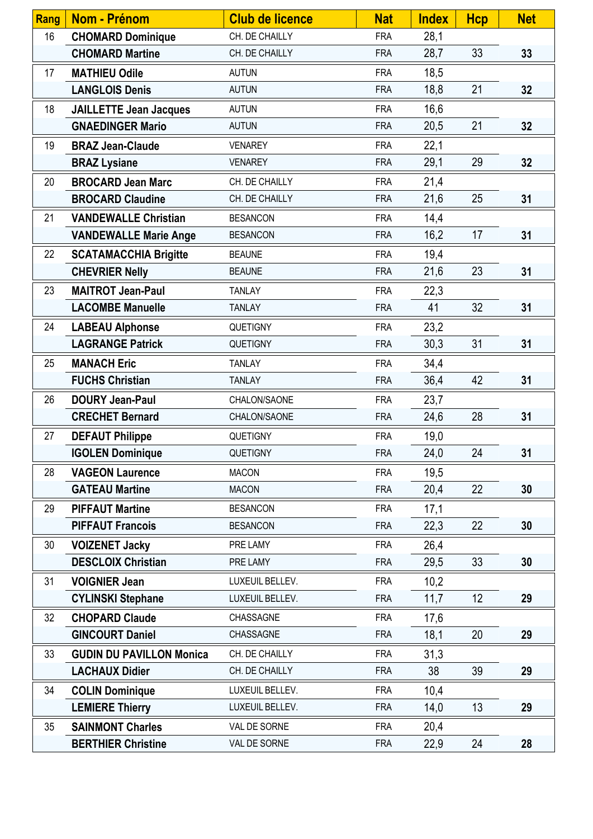| <b>Rang</b> | Nom - Prénom                    | <b>Club de licence</b> | <b>Nat</b> | <b>Index</b> | <b>Hcp</b> | <b>Net</b> |
|-------------|---------------------------------|------------------------|------------|--------------|------------|------------|
| 16          | <b>CHOMARD Dominique</b>        | CH. DE CHAILLY         | <b>FRA</b> | 28,1         |            |            |
|             | <b>CHOMARD Martine</b>          | CH. DE CHAILLY         | <b>FRA</b> | 28,7         | 33         | 33         |
| 17          | <b>MATHIEU Odile</b>            | <b>AUTUN</b>           | <b>FRA</b> | 18,5         |            |            |
|             | <b>LANGLOIS Denis</b>           | <b>AUTUN</b>           | <b>FRA</b> | 18,8         | 21         | 32         |
| 18          | <b>JAILLETTE Jean Jacques</b>   | <b>AUTUN</b>           | <b>FRA</b> | 16,6         |            |            |
|             | <b>GNAEDINGER Mario</b>         | <b>AUTUN</b>           | <b>FRA</b> | 20,5         | 21         | 32         |
| 19          | <b>BRAZ Jean-Claude</b>         | <b>VENAREY</b>         | <b>FRA</b> | 22,1         |            |            |
|             | <b>BRAZ Lysiane</b>             | <b>VENAREY</b>         | <b>FRA</b> | 29,1         | 29         | 32         |
| 20          | <b>BROCARD Jean Marc</b>        | CH. DE CHAILLY         | <b>FRA</b> | 21,4         |            |            |
|             | <b>BROCARD Claudine</b>         | CH. DE CHAILLY         | <b>FRA</b> | 21,6         | 25         | 31         |
| 21          | <b>VANDEWALLE Christian</b>     | <b>BESANCON</b>        | <b>FRA</b> | 14,4         |            |            |
|             | <b>VANDEWALLE Marie Ange</b>    | <b>BESANCON</b>        | <b>FRA</b> | 16,2         | 17         | 31         |
| 22          | <b>SCATAMACCHIA Brigitte</b>    | <b>BEAUNE</b>          | <b>FRA</b> | 19,4         |            |            |
|             | <b>CHEVRIER Nelly</b>           | <b>BEAUNE</b>          | <b>FRA</b> | 21,6         | 23         | 31         |
| 23          | <b>MAITROT Jean-Paul</b>        | <b>TANLAY</b>          | <b>FRA</b> | 22,3         |            |            |
|             | <b>LACOMBE Manuelle</b>         | <b>TANLAY</b>          | <b>FRA</b> | 41           | 32         | 31         |
| 24          | <b>LABEAU Alphonse</b>          | <b>QUETIGNY</b>        | <b>FRA</b> | 23,2         |            |            |
|             | <b>LAGRANGE Patrick</b>         | QUETIGNY               | <b>FRA</b> | 30,3         | 31         | 31         |
| 25          | <b>MANACH Eric</b>              | <b>TANLAY</b>          | <b>FRA</b> | 34,4         |            |            |
|             | <b>FUCHS Christian</b>          | <b>TANLAY</b>          | <b>FRA</b> | 36,4         | 42         | 31         |
| 26          | <b>DOURY Jean-Paul</b>          | CHALON/SAONE           | <b>FRA</b> | 23,7         |            |            |
|             | <b>CRECHET Bernard</b>          | CHALON/SAONE           | <b>FRA</b> | 24,6         | 28         | 31         |
| 27          | <b>DEFAUT Philippe</b>          | <b>QUETIGNY</b>        | <b>FRA</b> | 19,0         |            |            |
|             | <b>IGOLEN Dominique</b>         | QUETIGNY               | <b>FRA</b> | 24,0         | 24         | 31         |
| 28          | <b>VAGEON Laurence</b>          | <b>MACON</b>           | <b>FRA</b> | 19,5         |            |            |
|             | <b>GATEAU Martine</b>           | <b>MACON</b>           | <b>FRA</b> | 20,4         | 22         | 30         |
| 29          | <b>PIFFAUT Martine</b>          | <b>BESANCON</b>        | <b>FRA</b> | 17,1         |            |            |
|             | <b>PIFFAUT Francois</b>         | <b>BESANCON</b>        | <b>FRA</b> | 22,3         | 22         | 30         |
| 30          | <b>VOIZENET Jacky</b>           | PRE LAMY               | <b>FRA</b> | 26,4         |            |            |
|             | <b>DESCLOIX Christian</b>       | PRE LAMY               | <b>FRA</b> | 29,5         | 33         | 30         |
| 31          | <b>VOIGNIER Jean</b>            | LUXEUIL BELLEV.        | <b>FRA</b> | 10,2         |            |            |
|             | <b>CYLINSKI Stephane</b>        | LUXEUIL BELLEV.        | <b>FRA</b> | 11,7         | 12         | 29         |
| 32          | <b>CHOPARD Claude</b>           | CHASSAGNE              | <b>FRA</b> | 17,6         |            |            |
|             | <b>GINCOURT Daniel</b>          | CHASSAGNE              | <b>FRA</b> | 18,1         | 20         | 29         |
| 33          | <b>GUDIN DU PAVILLON Monica</b> | CH. DE CHAILLY         | <b>FRA</b> | 31,3         |            |            |
|             | <b>LACHAUX Didier</b>           | CH. DE CHAILLY         | <b>FRA</b> | 38           | 39         | 29         |
| 34          | <b>COLIN Dominique</b>          | LUXEUIL BELLEV.        | <b>FRA</b> | 10,4         |            |            |
|             | <b>LEMIERE Thierry</b>          | LUXEUIL BELLEV.        | <b>FRA</b> | 14,0         | 13         | 29         |
| 35          | <b>SAINMONT Charles</b>         | VAL DE SORNE           | <b>FRA</b> | 20,4         |            |            |
|             | <b>BERTHIER Christine</b>       | VAL DE SORNE           | <b>FRA</b> | 22,9         | 24         | 28         |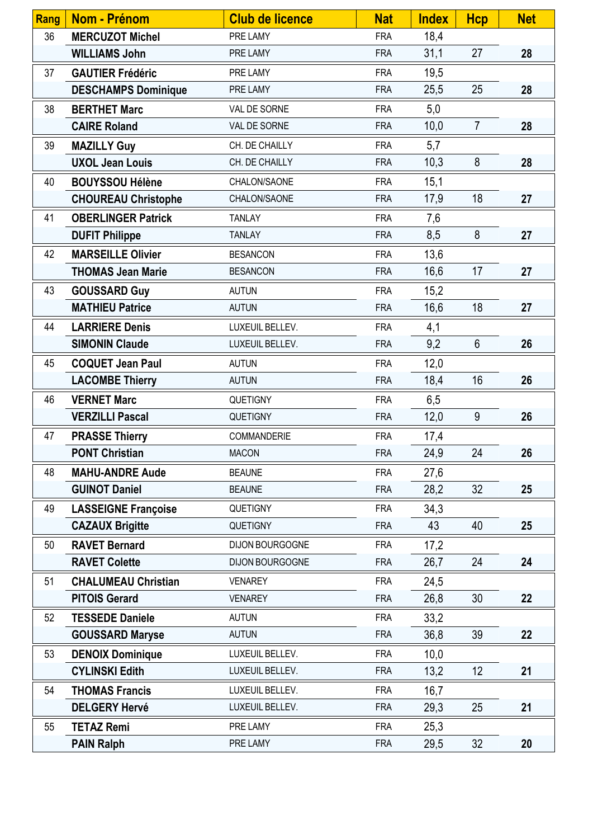| <b>Rang</b> | Nom - Prénom               | <b>Club de licence</b> | <b>Nat</b> | <b>Index</b> | <b>Hcp</b>     | <b>Net</b> |
|-------------|----------------------------|------------------------|------------|--------------|----------------|------------|
| 36          | <b>MERCUZOT Michel</b>     | PRE LAMY               | <b>FRA</b> | 18,4         |                |            |
|             | <b>WILLIAMS John</b>       | PRE LAMY               | <b>FRA</b> | 31,1         | 27             | 28         |
| 37          | <b>GAUTIER Frédéric</b>    | PRE LAMY               | <b>FRA</b> | 19,5         |                |            |
|             | <b>DESCHAMPS Dominique</b> | PRE LAMY               | <b>FRA</b> | 25,5         | 25             | 28         |
| 38          | <b>BERTHET Marc</b>        | VAL DE SORNE           | <b>FRA</b> | 5,0          |                |            |
|             | <b>CAIRE Roland</b>        | VAL DE SORNE           | <b>FRA</b> | 10,0         | $\overline{7}$ | 28         |
| 39          | <b>MAZILLY Guy</b>         | CH. DE CHAILLY         | <b>FRA</b> | 5,7          |                |            |
|             | <b>UXOL Jean Louis</b>     | CH. DE CHAILLY         | <b>FRA</b> | 10,3         | 8              | 28         |
| 40          | <b>BOUYSSOU Hélène</b>     | CHALON/SAONE           | <b>FRA</b> | 15,1         |                |            |
|             | <b>CHOUREAU Christophe</b> | CHALON/SAONE           | <b>FRA</b> | 17,9         | 18             | 27         |
| 41          | <b>OBERLINGER Patrick</b>  | <b>TANLAY</b>          | <b>FRA</b> | 7,6          |                |            |
|             | <b>DUFIT Philippe</b>      | <b>TANLAY</b>          | <b>FRA</b> | 8,5          | 8              | 27         |
| 42          | <b>MARSEILLE Olivier</b>   | <b>BESANCON</b>        | <b>FRA</b> | 13,6         |                |            |
|             | <b>THOMAS Jean Marie</b>   | <b>BESANCON</b>        | <b>FRA</b> | 16,6         | 17             | 27         |
| 43          | <b>GOUSSARD Guy</b>        | <b>AUTUN</b>           | <b>FRA</b> | 15,2         |                |            |
|             | <b>MATHIEU Patrice</b>     | <b>AUTUN</b>           | <b>FRA</b> | 16,6         | 18             | 27         |
| 44          | <b>LARRIERE Denis</b>      | LUXEUIL BELLEV.        | <b>FRA</b> | 4,1          |                |            |
|             | <b>SIMONIN Claude</b>      | LUXEUIL BELLEV.        | <b>FRA</b> | 9,2          | $6\phantom{1}$ | 26         |
| 45          | <b>COQUET Jean Paul</b>    | <b>AUTUN</b>           | <b>FRA</b> | 12,0         |                |            |
|             | <b>LACOMBE Thierry</b>     | <b>AUTUN</b>           | <b>FRA</b> | 18,4         | 16             | 26         |
| 46          | <b>VERNET Marc</b>         | <b>QUETIGNY</b>        | <b>FRA</b> | 6,5          |                |            |
|             | <b>VERZILLI Pascal</b>     | QUETIGNY               | <b>FRA</b> | 12,0         | 9              | 26         |
| 47          | <b>PRASSE Thierry</b>      | COMMANDERIE            | <b>FRA</b> | 17,4         |                |            |
|             | <b>PONT Christian</b>      | <b>MACON</b>           | <b>FRA</b> | 24,9         | 24             | 26         |
| 48          | <b>MAHU-ANDRE Aude</b>     | <b>BEAUNE</b>          | <b>FRA</b> | 27,6         |                |            |
|             | <b>GUINOT Daniel</b>       | <b>BEAUNE</b>          | <b>FRA</b> | 28,2         | 32             | 25         |
| 49          | <b>LASSEIGNE Françoise</b> | QUETIGNY               | <b>FRA</b> | 34,3         |                |            |
|             | <b>CAZAUX Brigitte</b>     | <b>QUETIGNY</b>        | <b>FRA</b> | 43           | 40             | 25         |
| 50          | <b>RAVET Bernard</b>       | DIJON BOURGOGNE        | <b>FRA</b> | 17,2         |                |            |
|             | <b>RAVET Colette</b>       | DIJON BOURGOGNE        | <b>FRA</b> | 26,7         | 24             | 24         |
| 51          | <b>CHALUMEAU Christian</b> | <b>VENAREY</b>         | <b>FRA</b> | 24,5         |                |            |
|             | <b>PITOIS Gerard</b>       | <b>VENAREY</b>         | <b>FRA</b> | 26,8         | 30             | 22         |
| 52          | <b>TESSEDE Daniele</b>     | <b>AUTUN</b>           | <b>FRA</b> | 33,2         |                |            |
|             | <b>GOUSSARD Maryse</b>     | <b>AUTUN</b>           | <b>FRA</b> | 36,8         | 39             | 22         |
| 53          | <b>DENOIX Dominique</b>    | LUXEUIL BELLEV.        | <b>FRA</b> | 10,0         |                |            |
|             | <b>CYLINSKI Edith</b>      | LUXEUIL BELLEV.        | <b>FRA</b> | 13,2         | 12             | 21         |
| 54          | <b>THOMAS Francis</b>      | LUXEUIL BELLEV.        | <b>FRA</b> | 16,7         |                |            |
|             | <b>DELGERY Hervé</b>       | LUXEUIL BELLEV.        | <b>FRA</b> | 29,3         | 25             | 21         |
| 55          | <b>TETAZ Remi</b>          | PRE LAMY               | <b>FRA</b> | 25,3         |                |            |
|             | <b>PAIN Ralph</b>          | PRE LAMY               | <b>FRA</b> | 29,5         | 32             | 20         |